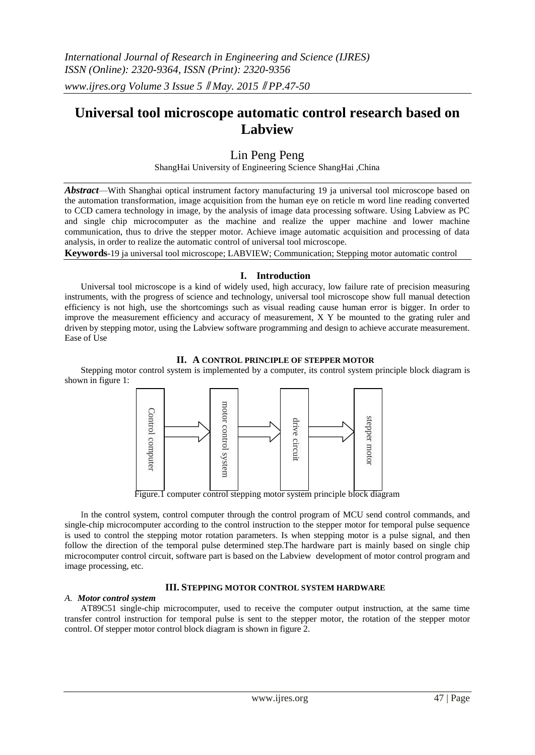# **Universal tool microscope automatic control research based on Labview**

# Lin Peng Peng

ShangHai University of Engineering Science ShangHai ,China

*Abstract*—With Shanghai optical instrument factory manufacturing 19 ja universal tool microscope based on the automation transformation, image acquisition from the human eye on reticle m word line reading converted to CCD camera technology in image, by the analysis of image data processing software. Using Labview as PC and single chip microcomputer as the machine and realize the upper machine and lower machine communication, thus to drive the stepper motor. Achieve image automatic acquisition and processing of data analysis, in order to realize the automatic control of universal tool microscope.

**Keywords**-19 ja universal tool microscope; LABVIEW; Communication; Stepping motor automatic control

# **I. Introduction**

Universal tool microscope is a kind of widely used, high accuracy, low failure rate of precision measuring instruments, with the progress of science and technology, universal tool microscope show full manual detection efficiency is not high, use the shortcomings such as visual reading cause human error is bigger. In order to improve the measurement efficiency and accuracy of measurement, X Y be mounted to the grating ruler and driven by stepping motor, using the Labview software programming and design to achieve accurate measurement. Ease of Use

**II. A CONTROL PRINCIPLE OF STEPPER MOTOR**

Stepping motor control system is implemented by a computer, its control system principle block diagram is shown in figure 1:



Figure.1 computer control stepping motor system principle block diagram

In the control system, control computer through the control program of MCU send control commands, and single-chip microcomputer according to the control instruction to the stepper motor for temporal pulse sequence is used to control the stepping motor rotation parameters. Is when stepping motor is a pulse signal, and then follow the direction of the temporal pulse determined step.The hardware part is mainly based on single chip microcomputer control circuit, software part is based on the Labview development of motor control program and image processing, etc.

## **III. STEPPING MOTOR CONTROL SYSTEM HARDWARE**

## *A. Motor control system*

AT89C51 single-chip microcomputer, used to receive the computer output instruction, at the same time transfer control instruction for temporal pulse is sent to the stepper motor, the rotation of the stepper motor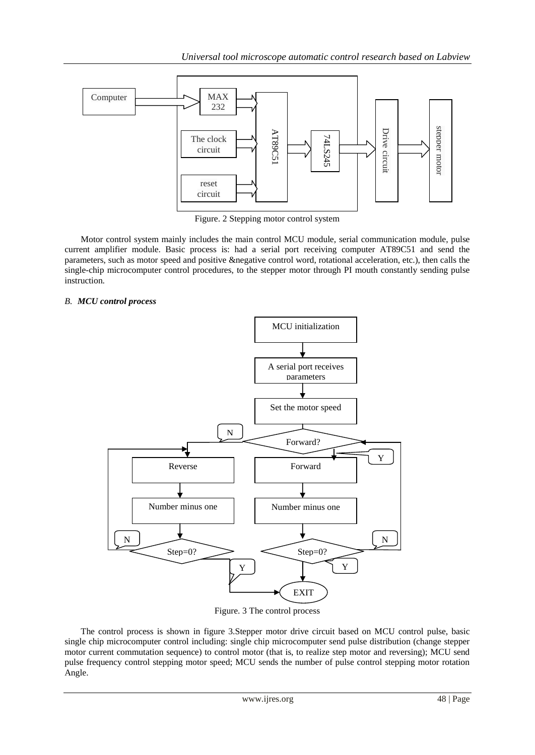

Figure. 2 Stepping motor control system

Motor control system mainly includes the main control MCU module, serial communication module, pulse current amplifier module. Basic process is: had a serial port receiving computer AT89C51 and send the parameters, such as motor speed and positive &negative control word, rotational acceleration, etc.), then calls the single-chip microcomputer control procedures, to the stepper motor through PI mouth constantly sending pulse instruction.

# *B. MCU control process*



Figure. 3 The control process

The control process is shown in figure 3.Stepper motor drive circuit based on MCU control pulse, basic single chip microcomputer control including: single chip microcomputer send pulse distribution (change stepper motor current commutation sequence) to control motor (that is, to realize step motor and reversing); MCU send pulse frequency control stepping motor speed; MCU sends the number of pulse control stepping motor rotation Angle.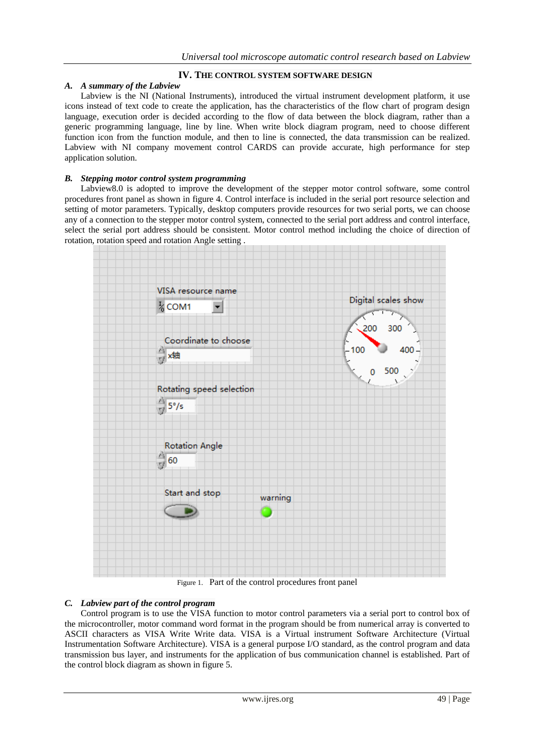#### **IV. THE CONTROL SYSTEM SOFTWARE DESIGN**

#### *A. A summary of the Labview*

Labview is the NI (National Instruments), introduced the virtual instrument development platform, it use icons instead of text code to create the application, has the characteristics of the flow chart of program design language, execution order is decided according to the flow of data between the block diagram, rather than a generic programming language, line by line. When write block diagram program, need to choose different function icon from the function module, and then to line is connected, the data transmission can be realized. Labview with NI company movement control CARDS can provide accurate, high performance for step application solution.

#### *B. Stepping motor control system programming*

Labview8.0 is adopted to improve the development of the stepper motor control software, some control procedures front panel as shown in figure 4. Control interface is included in the serial port resource selection and setting of motor parameters. Typically, desktop computers provide resources for two serial ports, we can choose any of a connection to the stepper motor control system, connected to the serial port address and control interface, select the serial port address should be consistent. Motor control method including the choice of direction of rotation, rotation speed and rotation Angle setting .



Figure 1. Part of the control procedures front panel

#### *C. Labview part of the control program*

Control program is to use the VISA function to motor control parameters via a serial port to control box of the microcontroller, motor command word format in the program should be from numerical array is converted to ASCII characters as VISA Write Write data. VISA is a Virtual instrument Software Architecture (Virtual Instrumentation Software Architecture). VISA is a general purpose I/O standard, as the control program and data transmission bus layer, and instruments for the application of bus communication channel is established. Part of the control block diagram as shown in figure 5.